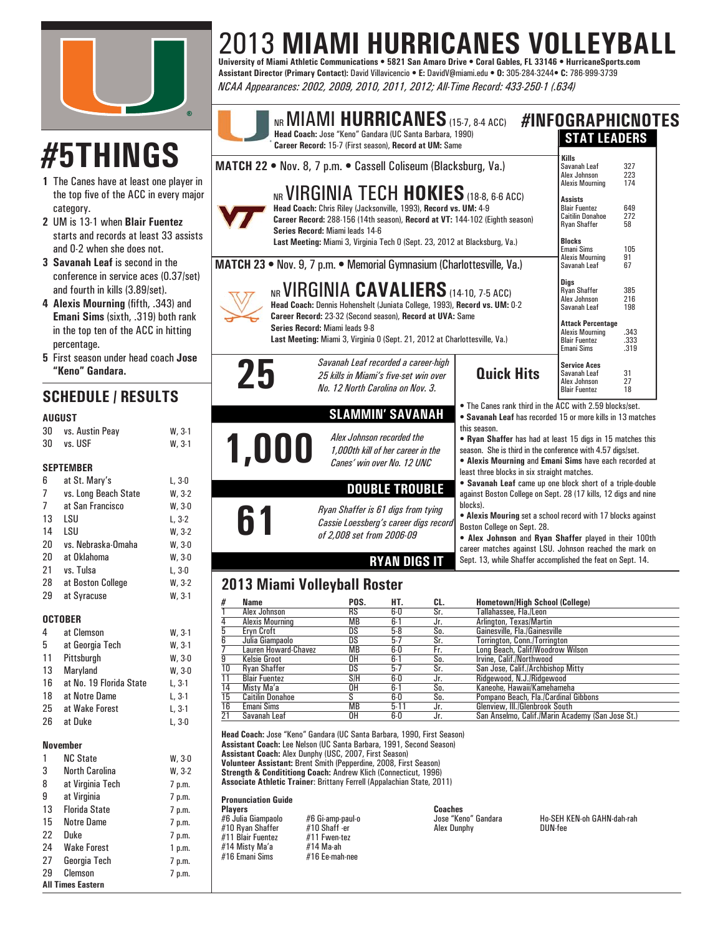

# **#5THINGS**

- **1** The Canes have at least one play the top five of the ACC in every category.
- **2** UM is 13-1 when **Blair Fuentez** starts and records at least 33 as and 0-2 when she does not.
- **3 Savanah Leaf** is second in the conference in service aces (0.37 and fourth in kills (3.89/set).
- **4 Alexis Mourning** (fifth, .343) a **Emani Sims** (sixth, .319) both r in the top ten of the ACC in hitti percentage.
- **5** First season under head coach **Jose "Keno" Gandara.**

### **SCHEDULE / RESULTS**

#### **AUGUST**

| 30 | vs. Austin Peay | $W.3-1$ |
|----|-----------------|---------|
| 30 | vs. USF         | $W.3-1$ |

#### **SEPTEMBER**

| 6              | at St. Mary's        | L, 3-0   |
|----------------|----------------------|----------|
| $\overline{7}$ | vs. Long Beach State | $W, 3-2$ |
| 7              | at San Francisco     | W.30     |
| 13             | LSU                  | L. 3-2   |
| 14             | LSU                  | $W.3-2$  |
| 20             | vs. Nebraska-Omaha   | W.30     |
| 20             | at Oklahoma          | W.30     |
| 21             | vs. Tulsa            | L, 3-0   |
| 28             | at Boston College    | $W, 3-2$ |
| 29             | at Syracuse          | $W.3-1$  |
|                |                      |          |

#### **OCTOBER**

4 at Clemson W, 5 at Georgia Tech W, 11 Pittsburgh W, 13 Maryland W, 16 at No. 19 Florida State L, 3-1 18 at Notre Dame L, 3-1 25 at Wake Forest L, 3-1 26 at Duke L, 3-0

#### **November**

|                          | <b>NC State</b>      | W, 3-0 |  |  |  |  |  |  |
|--------------------------|----------------------|--------|--|--|--|--|--|--|
| 3                        | North Carolina       | W, 3-2 |  |  |  |  |  |  |
| 8                        | at Virginia Tech     | 7 p.m. |  |  |  |  |  |  |
| 9                        | at Virginia          | 7 p.m. |  |  |  |  |  |  |
| 13                       | <b>Florida State</b> | 7 p.m. |  |  |  |  |  |  |
| 15                       | Notre Dame           | 7 p.m. |  |  |  |  |  |  |
| 22                       | Duke                 | 7 p.m. |  |  |  |  |  |  |
| 24                       | Wake Forest          | 1 p.m. |  |  |  |  |  |  |
| 27                       | Georgia Tech         | 7 p.m. |  |  |  |  |  |  |
| 29                       | Clemson              | 7 p.m. |  |  |  |  |  |  |
| <b>All Times Eastern</b> |                      |        |  |  |  |  |  |  |

## 2013 **MIAMI HURRICANES VOLLEYBALL University of Miami Athletic Communications • 5821 San Amaro Drive • Coral Gables, FL 33146 • HurricaneSports.com**

**Assistant Director (Primary Contact):** David Villavicencio **• E:** DavidV@miami.edu **• O:** 305-284-3244**• C:** 786-999-3739 *NCAA Appearances: 2002, 2009, 2010, 2011, 2012; All-Time Record: 433-250-1 (.634)*

| $^{\circledR}$                   |                                                                                                                                                                                                                               | Head Coach: Jose "Keno" Gandara (UC Santa Barbara, 1990)<br>Career Record: 15-7 (First season), Record at UM: Same |                       |                | NR MIAMI HURRICANES (15-7, 8-4 ACC) #INFOGRAPHICNOTES                                                                                                                                                                      | <b>STAT LEADERS</b>                                                                                                                                                                                                                                 |                      |  |  |  |  |
|----------------------------------|-------------------------------------------------------------------------------------------------------------------------------------------------------------------------------------------------------------------------------|--------------------------------------------------------------------------------------------------------------------|-----------------------|----------------|----------------------------------------------------------------------------------------------------------------------------------------------------------------------------------------------------------------------------|-----------------------------------------------------------------------------------------------------------------------------------------------------------------------------------------------------------------------------------------------------|----------------------|--|--|--|--|
| yer in                           | MATCH 22 . Nov. 8, 7 p.m. . Cassell Coliseum (Blacksburg, Va.)                                                                                                                                                                |                                                                                                                    |                       |                |                                                                                                                                                                                                                            | Kills<br>Savanah Leaf<br>Alex Johnson<br><b>Alexis Mourning</b>                                                                                                                                                                                     | 327<br>223<br>174    |  |  |  |  |
| major<br>Z<br>ssists             | NR VIRGINIA TECH HOKIES (18-8, 6-6 ACC)<br>Head Coach: Chris Riley (Jacksonville, 1993), Record vs. UM: 4-9<br>Career Record: 288-156 (14th season), Record at VT: 144-102 (Eighth season)<br>Series Record: Miami leads 14-6 | <b>Assists</b><br><b>Blair Fuentez</b><br><b>Caitilin Donahoe</b><br><b>Ryan Shaffer</b>                           | 649<br>272<br>58      |                |                                                                                                                                                                                                                            |                                                                                                                                                                                                                                                     |                      |  |  |  |  |
|                                  | Last Meeting: Miami 3, Virginia Tech 0 (Sept. 23, 2012 at Blacksburg, Va.)<br>MATCH 23 . Nov. 9, 7 p.m. . Memorial Gymnasium (Charlottesville, Va.)                                                                           | <b>Blocks</b><br>Emani Sims<br><b>Alexis Mourning</b><br>Savanah Leaf                                              | 105<br>91<br>67       |                |                                                                                                                                                                                                                            |                                                                                                                                                                                                                                                     |                      |  |  |  |  |
| 7/set)<br>ınd                    | NR VIRGINIA CAVALIERS (14-10, 7-5 ACC)<br>Head Coach: Dennis Hohenshelt (Juniata College, 1993), Record vs. UM: 0-2<br>Career Record: 23-32 (Second season), Record at UVA: Same                                              | <b>Digs</b><br><b>Ryan Shaffer</b><br>Alex Johnson<br>Savanah Leaf                                                 | 385<br>216<br>198     |                |                                                                                                                                                                                                                            |                                                                                                                                                                                                                                                     |                      |  |  |  |  |
| rank<br>ing                      |                                                                                                                                                                                                                               | Series Record: Miami leads 9-8<br>Last Meeting: Miami 3, Virginia 0 (Sept. 21, 2012 at Charlottesville, Va.)       |                       |                |                                                                                                                                                                                                                            | <b>Attack Percentage</b><br><b>Alexis Mourning</b><br><b>Blair Fuentez</b><br>Emani Sims                                                                                                                                                            | .343<br>.333<br>.319 |  |  |  |  |
| lose                             | 25                                                                                                                                                                                                                            | Savanah Leaf recorded a career-high<br>25 kills in Miami's five-set win over<br>No. 12 North Carolina on Nov. 3.   |                       |                | <b>Quick Hits</b>                                                                                                                                                                                                          | <b>Service Aces</b><br>Savanah Leaf<br>Alex Johnson<br><b>Blair Fuentez</b>                                                                                                                                                                         | 31<br>27<br>18       |  |  |  |  |
|                                  |                                                                                                                                                                                                                               | <b>SLAMMIN' SAVANAH</b>                                                                                            |                       |                | . The Canes rank third in the ACC with 2.59 blocks/set.<br>• Savanah Leaf has recorded 15 or more kills in 13 matches                                                                                                      |                                                                                                                                                                                                                                                     |                      |  |  |  |  |
| $3-1$<br>$3-1$                   | 1,000                                                                                                                                                                                                                         | Alex Johnson recorded the<br>1,000th kill of her career in the<br>Canes' win over No. 12 UNC                       |                       |                | this season.<br>season. She is third in the conference with 4.57 digs/set.<br>least three blocks in six straight matches.                                                                                                  | • Ryan Shaffer has had at least 15 digs in 15 matches this<br>• Alexis Mourning and Emani Sims have each recorded at<br>• Savanah Leaf came up one block short of a triple-double<br>against Boston College on Sept. 28 (17 kills, 12 digs and nine |                      |  |  |  |  |
| 3-0<br>$3-2$                     |                                                                                                                                                                                                                               |                                                                                                                    | <b>DOUBLE TROUBLE</b> |                |                                                                                                                                                                                                                            |                                                                                                                                                                                                                                                     |                      |  |  |  |  |
| $3-0$<br>$3-2$<br>$3-2$<br>$3-0$ | 61                                                                                                                                                                                                                            | Ryan Shaffer is 61 digs from tying<br>Cassie Loessberg's career digs record<br>of 2,008 set from 2006-09           |                       |                | blocks).<br>• Alexis Mouring set a school record with 17 blocks against<br>Boston College on Sept. 28.<br>• Alex Johnson and Ryan Shaffer played in their 100th<br>career matches against LSU. Johnson reached the mark on |                                                                                                                                                                                                                                                     |                      |  |  |  |  |
| $3-0$<br>3-0                     |                                                                                                                                                                                                                               |                                                                                                                    | <b>RYAN DIGS IT</b>   |                | Sept. 13, while Shaffer accomplished the feat on Sept. 14.                                                                                                                                                                 |                                                                                                                                                                                                                                                     |                      |  |  |  |  |
| $3-2$<br>$3-1$                   | 2013 Miami Volleyball Roster                                                                                                                                                                                                  |                                                                                                                    |                       |                |                                                                                                                                                                                                                            |                                                                                                                                                                                                                                                     |                      |  |  |  |  |
|                                  | #<br><b>Name</b><br>Alex Johnson<br>1                                                                                                                                                                                         | POS.<br><b>RS</b>                                                                                                  | HT.<br>$6-0$          | CL.<br>Sr.     | <b>Hometown/High School (College)</b><br>Tallahassee, Fla./Leon                                                                                                                                                            |                                                                                                                                                                                                                                                     |                      |  |  |  |  |
|                                  | 4<br><b>Alexis Mourning</b>                                                                                                                                                                                                   | МB                                                                                                                 | $6 - 1$               | Jr.            | Arlington, Texas/Martin                                                                                                                                                                                                    |                                                                                                                                                                                                                                                     |                      |  |  |  |  |
| $3-1$                            | 5<br>Eryn Croft<br>6                                                                                                                                                                                                          | $\overline{\text{DS}}$<br>DS                                                                                       | $5-8$<br>$5-7$        | $S_0$ .<br>Sr. | Gainesville, Fla./Gainesville                                                                                                                                                                                              |                                                                                                                                                                                                                                                     |                      |  |  |  |  |
| $3-1$                            | Julia Giampaolo<br><b>Lauren Howard-Chavez</b>                                                                                                                                                                                | <b>MB</b>                                                                                                          | $6-0$                 | Fr.            | <b>Torrington, Conn./Torrington</b><br>Long Beach, Calif/Woodrow Wilson                                                                                                                                                    |                                                                                                                                                                                                                                                     |                      |  |  |  |  |
| $3-0$                            | $\overline{9}$<br><b>Kelsie Groot</b>                                                                                                                                                                                         | OΗ                                                                                                                 | $6-1$                 | So.            | Irvine, Calif./Northwood                                                                                                                                                                                                   |                                                                                                                                                                                                                                                     |                      |  |  |  |  |
| $3-0$                            | 10<br><b>Ryan Shaffer</b>                                                                                                                                                                                                     | DS                                                                                                                 | $5-7$                 | Sr.            | San Jose, Calif./Archbishop Mitty                                                                                                                                                                                          |                                                                                                                                                                                                                                                     |                      |  |  |  |  |
| $3-1$                            | <b>Blair Fuentez</b><br>11<br>$\overline{14}$<br>Misty Ma'a                                                                                                                                                                   | S/H<br>OН                                                                                                          | $6-0$<br>$6 - 1$      | Jr.<br>So.     | Ridgewood, N.J./Ridgewood<br>Kaneohe, Hawaii/Kamehameha                                                                                                                                                                    |                                                                                                                                                                                                                                                     |                      |  |  |  |  |
| $3-1$                            | $\overline{15}$<br><b>Caitilin Donahoe</b>                                                                                                                                                                                    | S                                                                                                                  | 6-0                   | So.            | Pompano Beach, Fla./Cardinal Gibbons                                                                                                                                                                                       |                                                                                                                                                                                                                                                     |                      |  |  |  |  |

10 Emain Sinis Morton, 1982 **Participal Control Control Control Control Control Control Control Control Control Control Control Control Control Control Control Control Control Control Control Control Control Control Contro Head Coach:** Jose "Keno" Gandara (UC Santa Barbara, 1990, First Season) **Assistant Coach:** Lee Nelson (UC Santa Barbara, 1991, Second Season) **Assistant Coach:** Alex Dunphy (USC, 2007, First Season) **Volunteer Assistant:** Brent Smith (Pepperdine, 2008, First Season) **Strength & Condititiong Coach:** Andrew Klich (Connecticut, 1996) **Associate Athletic Trainer**: Brittany Ferrell (Appalachian State, 2011)

15 Caitilin Donahoe S 6-0 So. Pompano Beach, Fla./Cardinal Gibbons 16 Emani Sims MB 5-11 Jr. Glenview, Ill./Glenbrook South

**Pronunciation Guide**

**Marking Property Constrainer:**<br>
#6 Gi-amp-paul-o<br>
#10 Shaff -er<br>
#11 Fwen-tez<br>
#14 Ma-ah, #10 Ryan Shaffer #10 Shaff -er<br>#11 Blair Fuentez #11 Fwen-tez #11 Blair Fuentez #11 Fwen-t#<br>#14 Misty Ma'a #14 Ma-ah #14 Misty Ma'a #14 Ma-ah  $#16$  Emani Sims

**Players Coaches**

#6 Julia Giampaolo #6 Gi-amp-paul-o Jose "Keno" Gandara Ho-SEH KEN-oh GAHN-dah-rah

 $R_{\text{L}}$